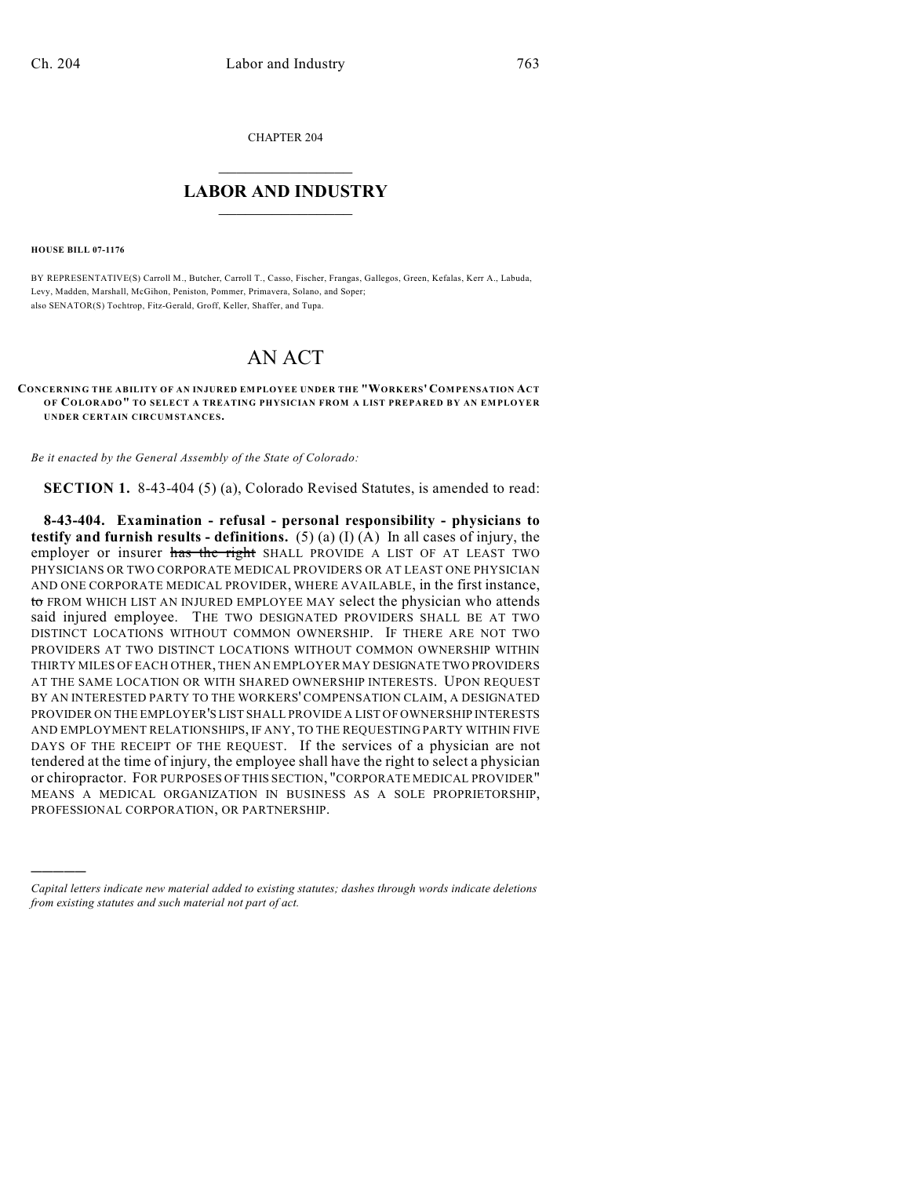CHAPTER 204

## $\mathcal{L}_\text{max}$  . The set of the set of the set of the set of the set of the set of the set of the set of the set of the set of the set of the set of the set of the set of the set of the set of the set of the set of the set **LABOR AND INDUSTRY**  $\frac{1}{\sqrt{2}}$  ,  $\frac{1}{\sqrt{2}}$  ,  $\frac{1}{\sqrt{2}}$  ,  $\frac{1}{\sqrt{2}}$  ,  $\frac{1}{\sqrt{2}}$  ,  $\frac{1}{\sqrt{2}}$

**HOUSE BILL 07-1176**

)))))

BY REPRESENTATIVE(S) Carroll M., Butcher, Carroll T., Casso, Fischer, Frangas, Gallegos, Green, Kefalas, Kerr A., Labuda, Levy, Madden, Marshall, McGihon, Peniston, Pommer, Primavera, Solano, and Soper; also SENATOR(S) Tochtrop, Fitz-Gerald, Groff, Keller, Shaffer, and Tupa.

## AN ACT

**CONCERNING THE ABILITY OF AN INJURED EMPLOYEE UNDER THE "WORKERS' COM PENSATION ACT OF COLORADO" TO SELECT A TREATING PHYSICIAN FROM A LIST PREPARED BY AN EMPLOYER UNDER CERTAIN CIRCUMSTANCES.**

*Be it enacted by the General Assembly of the State of Colorado:*

**SECTION 1.** 8-43-404 (5) (a), Colorado Revised Statutes, is amended to read:

**8-43-404. Examination - refusal - personal responsibility - physicians to testify and furnish results - definitions.** (5) (a) (I) (A) In all cases of injury, the employer or insurer has the right SHALL PROVIDE A LIST OF AT LEAST TWO PHYSICIANS OR TWO CORPORATE MEDICAL PROVIDERS OR AT LEAST ONE PHYSICIAN AND ONE CORPORATE MEDICAL PROVIDER, WHERE AVAILABLE, in the first instance, to FROM WHICH LIST AN INJURED EMPLOYEE MAY select the physician who attends said injured employee. THE TWO DESIGNATED PROVIDERS SHALL BE AT TWO DISTINCT LOCATIONS WITHOUT COMMON OWNERSHIP. IF THERE ARE NOT TWO PROVIDERS AT TWO DISTINCT LOCATIONS WITHOUT COMMON OWNERSHIP WITHIN THIRTY MILES OF EACH OTHER, THEN AN EMPLOYER MAY DESIGNATE TWO PROVIDERS AT THE SAME LOCATION OR WITH SHARED OWNERSHIP INTERESTS. UPON REQUEST BY AN INTERESTED PARTY TO THE WORKERS' COMPENSATION CLAIM, A DESIGNATED PROVIDER ON THE EMPLOYER'S LIST SHALL PROVIDE A LIST OF OWNERSHIP INTERESTS AND EMPLOYMENT RELATIONSHIPS, IF ANY, TO THE REQUESTING PARTY WITHIN FIVE DAYS OF THE RECEIPT OF THE REQUEST. If the services of a physician are not tendered at the time of injury, the employee shall have the right to select a physician or chiropractor. FOR PURPOSES OF THIS SECTION, "CORPORATE MEDICAL PROVIDER" MEANS A MEDICAL ORGANIZATION IN BUSINESS AS A SOLE PROPRIETORSHIP, PROFESSIONAL CORPORATION, OR PARTNERSHIP.

*Capital letters indicate new material added to existing statutes; dashes through words indicate deletions from existing statutes and such material not part of act.*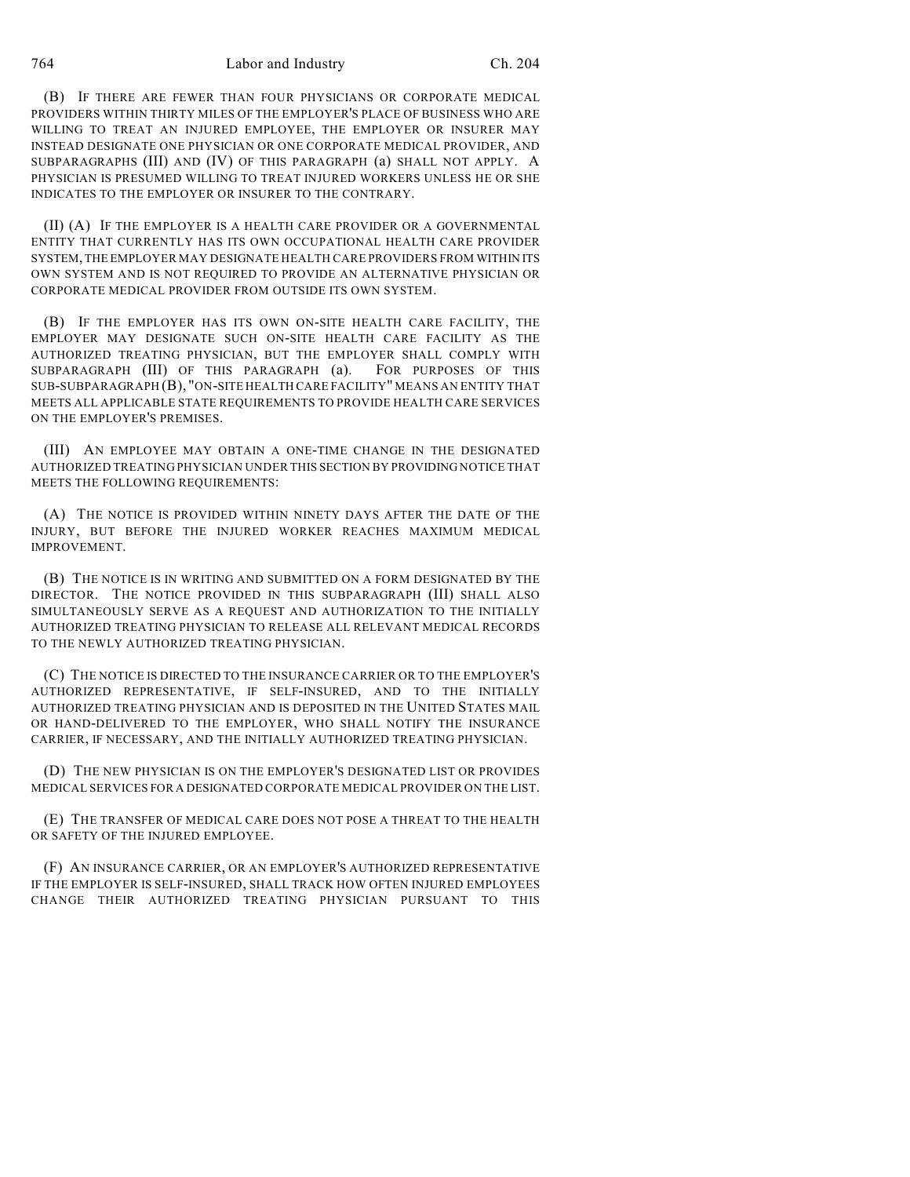764 Labor and Industry Ch. 204

(B) IF THERE ARE FEWER THAN FOUR PHYSICIANS OR CORPORATE MEDICAL PROVIDERS WITHIN THIRTY MILES OF THE EMPLOYER'S PLACE OF BUSINESS WHO ARE WILLING TO TREAT AN INJURED EMPLOYEE, THE EMPLOYER OR INSURER MAY INSTEAD DESIGNATE ONE PHYSICIAN OR ONE CORPORATE MEDICAL PROVIDER, AND SUBPARAGRAPHS (III) AND (IV) OF THIS PARAGRAPH (a) SHALL NOT APPLY. A PHYSICIAN IS PRESUMED WILLING TO TREAT INJURED WORKERS UNLESS HE OR SHE INDICATES TO THE EMPLOYER OR INSURER TO THE CONTRARY.

(II) (A) IF THE EMPLOYER IS A HEALTH CARE PROVIDER OR A GOVERNMENTAL ENTITY THAT CURRENTLY HAS ITS OWN OCCUPATIONAL HEALTH CARE PROVIDER SYSTEM, THE EMPLOYER MAY DESIGNATE HEALTH CARE PROVIDERS FROM WITHIN ITS OWN SYSTEM AND IS NOT REQUIRED TO PROVIDE AN ALTERNATIVE PHYSICIAN OR CORPORATE MEDICAL PROVIDER FROM OUTSIDE ITS OWN SYSTEM.

(B) IF THE EMPLOYER HAS ITS OWN ON-SITE HEALTH CARE FACILITY, THE EMPLOYER MAY DESIGNATE SUCH ON-SITE HEALTH CARE FACILITY AS THE AUTHORIZED TREATING PHYSICIAN, BUT THE EMPLOYER SHALL COMPLY WITH SUBPARAGRAPH (III) OF THIS PARAGRAPH (a). FOR PURPOSES OF THIS SUB-SUBPARAGRAPH (B), "ON-SITE HEALTH CARE FACILITY" MEANS AN ENTITY THAT MEETS ALL APPLICABLE STATE REQUIREMENTS TO PROVIDE HEALTH CARE SERVICES ON THE EMPLOYER'S PREMISES.

(III) AN EMPLOYEE MAY OBTAIN A ONE-TIME CHANGE IN THE DESIGNATED AUTHORIZED TREATING PHYSICIAN UNDER THIS SECTION BY PROVIDING NOTICE THAT MEETS THE FOLLOWING REQUIREMENTS:

(A) THE NOTICE IS PROVIDED WITHIN NINETY DAYS AFTER THE DATE OF THE INJURY, BUT BEFORE THE INJURED WORKER REACHES MAXIMUM MEDICAL IMPROVEMENT.

(B) THE NOTICE IS IN WRITING AND SUBMITTED ON A FORM DESIGNATED BY THE DIRECTOR. THE NOTICE PROVIDED IN THIS SUBPARAGRAPH (III) SHALL ALSO SIMULTANEOUSLY SERVE AS A REQUEST AND AUTHORIZATION TO THE INITIALLY AUTHORIZED TREATING PHYSICIAN TO RELEASE ALL RELEVANT MEDICAL RECORDS TO THE NEWLY AUTHORIZED TREATING PHYSICIAN.

(C) THE NOTICE IS DIRECTED TO THE INSURANCE CARRIER OR TO THE EMPLOYER'S AUTHORIZED REPRESENTATIVE, IF SELF-INSURED, AND TO THE INITIALLY AUTHORIZED TREATING PHYSICIAN AND IS DEPOSITED IN THE UNITED STATES MAIL OR HAND-DELIVERED TO THE EMPLOYER, WHO SHALL NOTIFY THE INSURANCE CARRIER, IF NECESSARY, AND THE INITIALLY AUTHORIZED TREATING PHYSICIAN.

(D) THE NEW PHYSICIAN IS ON THE EMPLOYER'S DESIGNATED LIST OR PROVIDES MEDICAL SERVICES FOR A DESIGNATED CORPORATE MEDICAL PROVIDER ON THE LIST.

(E) THE TRANSFER OF MEDICAL CARE DOES NOT POSE A THREAT TO THE HEALTH OR SAFETY OF THE INJURED EMPLOYEE.

(F) AN INSURANCE CARRIER, OR AN EMPLOYER'S AUTHORIZED REPRESENTATIVE IF THE EMPLOYER IS SELF-INSURED, SHALL TRACK HOW OFTEN INJURED EMPLOYEES CHANGE THEIR AUTHORIZED TREATING PHYSICIAN PURSUANT TO THIS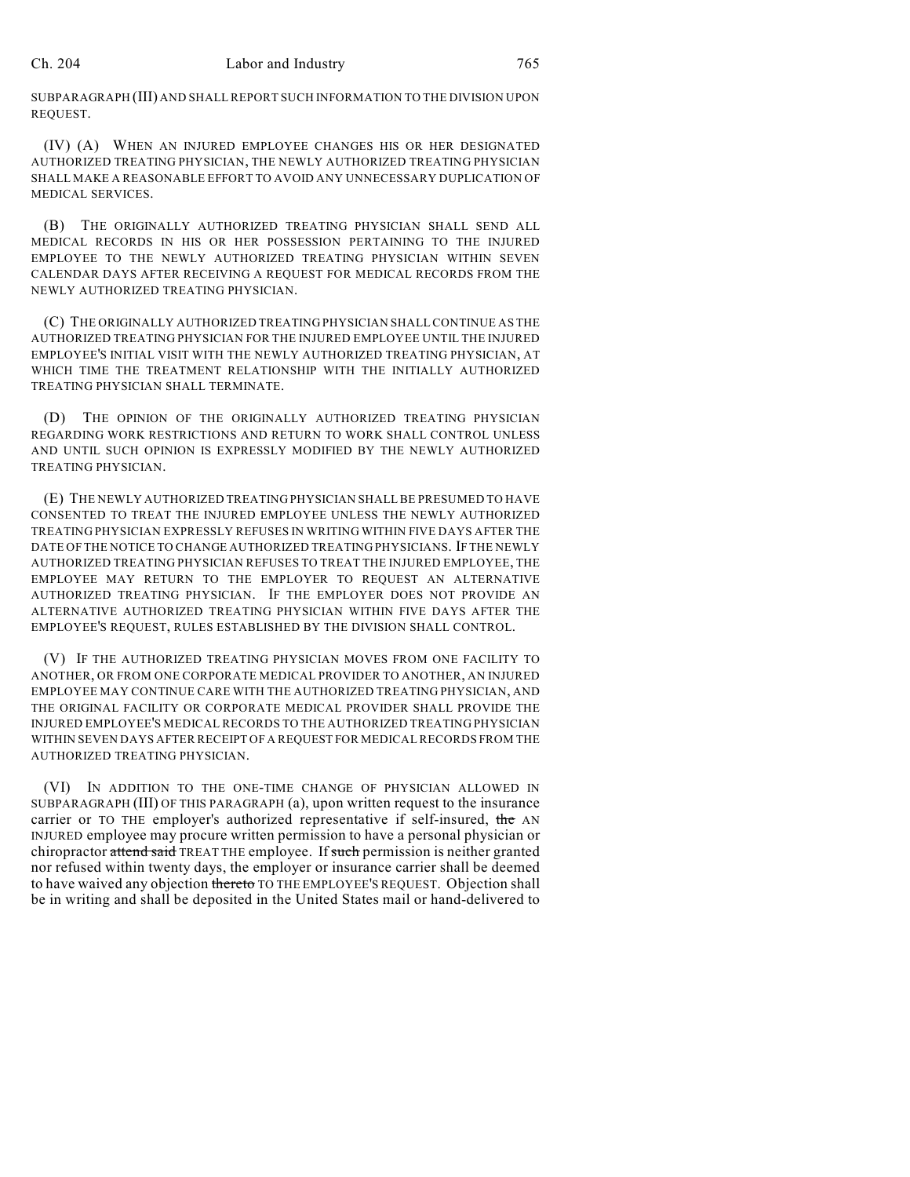SUBPARAGRAPH (III) AND SHALL REPORT SUCH INFORMATION TO THE DIVISION UPON REQUEST.

(IV) (A) WHEN AN INJURED EMPLOYEE CHANGES HIS OR HER DESIGNATED AUTHORIZED TREATING PHYSICIAN, THE NEWLY AUTHORIZED TREATING PHYSICIAN SHALL MAKE A REASONABLE EFFORT TO AVOID ANY UNNECESSARY DUPLICATION OF MEDICAL SERVICES.

(B) THE ORIGINALLY AUTHORIZED TREATING PHYSICIAN SHALL SEND ALL MEDICAL RECORDS IN HIS OR HER POSSESSION PERTAINING TO THE INJURED EMPLOYEE TO THE NEWLY AUTHORIZED TREATING PHYSICIAN WITHIN SEVEN CALENDAR DAYS AFTER RECEIVING A REQUEST FOR MEDICAL RECORDS FROM THE NEWLY AUTHORIZED TREATING PHYSICIAN.

(C) THE ORIGINALLY AUTHORIZED TREATING PHYSICIAN SHALL CONTINUE AS THE AUTHORIZED TREATING PHYSICIAN FOR THE INJURED EMPLOYEE UNTIL THE INJURED EMPLOYEE'S INITIAL VISIT WITH THE NEWLY AUTHORIZED TREATING PHYSICIAN, AT WHICH TIME THE TREATMENT RELATIONSHIP WITH THE INITIALLY AUTHORIZED TREATING PHYSICIAN SHALL TERMINATE.

(D) THE OPINION OF THE ORIGINALLY AUTHORIZED TREATING PHYSICIAN REGARDING WORK RESTRICTIONS AND RETURN TO WORK SHALL CONTROL UNLESS AND UNTIL SUCH OPINION IS EXPRESSLY MODIFIED BY THE NEWLY AUTHORIZED TREATING PHYSICIAN.

(E) THE NEWLY AUTHORIZED TREATING PHYSICIAN SHALL BE PRESUMED TO HAVE CONSENTED TO TREAT THE INJURED EMPLOYEE UNLESS THE NEWLY AUTHORIZED TREATING PHYSICIAN EXPRESSLY REFUSES IN WRITING WITHIN FIVE DAYS AFTER THE DATE OF THE NOTICE TO CHANGE AUTHORIZED TREATING PHYSICIANS. IF THE NEWLY AUTHORIZED TREATING PHYSICIAN REFUSES TO TREAT THE INJURED EMPLOYEE, THE EMPLOYEE MAY RETURN TO THE EMPLOYER TO REQUEST AN ALTERNATIVE AUTHORIZED TREATING PHYSICIAN. IF THE EMPLOYER DOES NOT PROVIDE AN ALTERNATIVE AUTHORIZED TREATING PHYSICIAN WITHIN FIVE DAYS AFTER THE EMPLOYEE'S REQUEST, RULES ESTABLISHED BY THE DIVISION SHALL CONTROL.

(V) IF THE AUTHORIZED TREATING PHYSICIAN MOVES FROM ONE FACILITY TO ANOTHER, OR FROM ONE CORPORATE MEDICAL PROVIDER TO ANOTHER, AN INJURED EMPLOYEE MAY CONTINUE CARE WITH THE AUTHORIZED TREATING PHYSICIAN, AND THE ORIGINAL FACILITY OR CORPORATE MEDICAL PROVIDER SHALL PROVIDE THE INJURED EMPLOYEE'S MEDICAL RECORDS TO THE AUTHORIZED TREATING PHYSICIAN WITHIN SEVEN DAYS AFTER RECEIPT OF A REQUEST FOR MEDICAL RECORDS FROM THE AUTHORIZED TREATING PHYSICIAN.

(VI) IN ADDITION TO THE ONE-TIME CHANGE OF PHYSICIAN ALLOWED IN SUBPARAGRAPH (III) OF THIS PARAGRAPH (a), upon written request to the insurance carrier or TO THE employer's authorized representative if self-insured, the AN INJURED employee may procure written permission to have a personal physician or chiropractor attend said TREAT THE employee. If such permission is neither granted nor refused within twenty days, the employer or insurance carrier shall be deemed to have waived any objection thereto TO THE EMPLOYEE'S REQUEST. Objection shall be in writing and shall be deposited in the United States mail or hand-delivered to